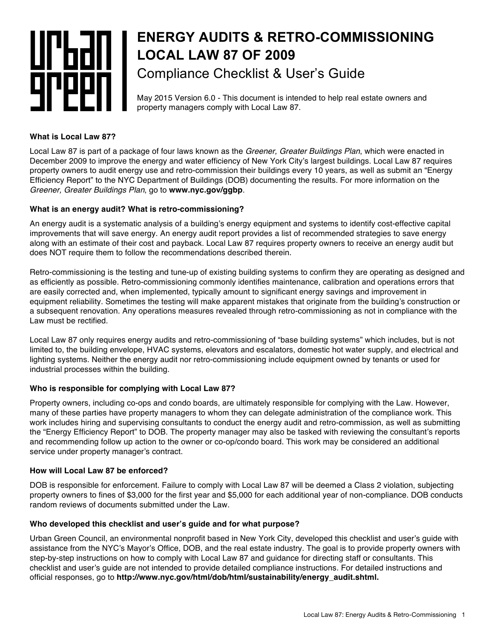# **ENERGY AUDITS & RETRO-COMMISSIONING** UI'bdii. **LOCAL LAW 87 OF 2009** Compliance Checklist & User's Guide 10 I

#### May 2015 Version 6.0 - This document is intended to help real estate owners and property managers comply with Local Law 87.

# **What is Local Law 87?**

Local Law 87 is part of a package of four laws known as the *Greener, Greater Buildings Plan*, which were enacted in December 2009 to improve the energy and water efficiency of New York City's largest buildings. Local Law 87 requires property owners to audit energy use and retro-commission their buildings every 10 years, as well as submit an "Energy Efficiency Report" to the NYC Department of Buildings (DOB) documenting the results. For more information on the *Greener, Greater Buildings Plan*, go to **www.nyc.gov/ggbp**.

# **What is an energy audit? What is retro-commissioning?**

An energy audit is a systematic analysis of a building's energy equipment and systems to identify cost-effective capital improvements that will save energy. An energy audit report provides a list of recommended strategies to save energy along with an estimate of their cost and payback. Local Law 87 requires property owners to receive an energy audit but does NOT require them to follow the recommendations described therein.

Retro-commissioning is the testing and tune-up of existing building systems to confirm they are operating as designed and as efficiently as possible. Retro-commissioning commonly identifies maintenance, calibration and operations errors that are easily corrected and, when implemented, typically amount to significant energy savings and improvement in equipment reliability. Sometimes the testing will make apparent mistakes that originate from the building's construction or a subsequent renovation. Any operations measures revealed through retro-commissioning as not in compliance with the Law must be rectified.

Local Law 87 only requires energy audits and retro-commissioning of "base building systems" which includes, but is not limited to, the building envelope, HVAC systems, elevators and escalators, domestic hot water supply, and electrical and lighting systems. Neither the energy audit nor retro-commissioning include equipment owned by tenants or used for industrial processes within the building.

# **Who is responsible for complying with Local Law 87?**

Property owners, including co-ops and condo boards, are ultimately responsible for complying with the Law. However, many of these parties have property managers to whom they can delegate administration of the compliance work. This work includes hiring and supervising consultants to conduct the energy audit and retro-commission, as well as submitting the "Energy Efficiency Report" to DOB. The property manager may also be tasked with reviewing the consultant's reports and recommending follow up action to the owner or co-op/condo board. This work may be considered an additional service under property manager's contract.

# **How will Local Law 87 be enforced?**

DOB is responsible for enforcement. Failure to comply with Local Law 87 will be deemed a Class 2 violation, subjecting property owners to fines of \$3,000 for the first year and \$5,000 for each additional year of non-compliance. DOB conducts random reviews of documents submitted under the Law.

# **Who developed this checklist and user's guide and for what purpose?**

Urban Green Council, an environmental nonprofit based in New York City, developed this checklist and user's guide with assistance from the NYC's Mayor's Office, DOB, and the real estate industry. The goal is to provide property owners with step-by-step instructions on how to comply with Local Law 87 and guidance for directing staff or consultants. This checklist and user's guide are not intended to provide detailed compliance instructions. For detailed instructions and official responses, go to **http://www.nyc.gov/html/dob/html/sustainability/energy\_audit.shtml.**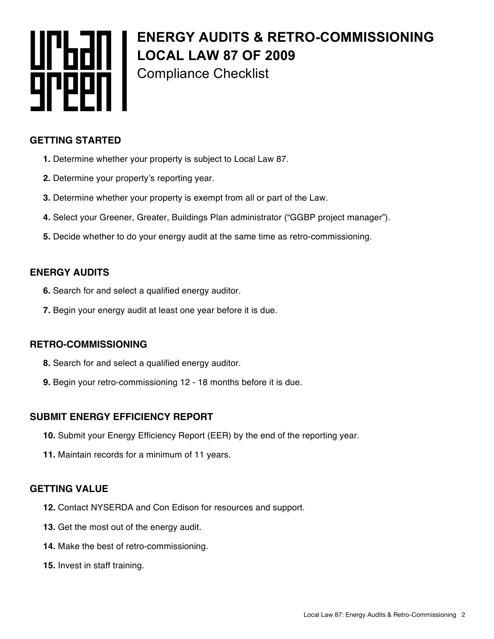

# **ENERGY AUDITS & RETRO-COMMISSIONING LOCAL LAW 87 OF 2009** Compliance Checklist

## **GETTING STARTED**

- **1.** Determine whether your property is subject to Local Law 87.
- **2.** Determine your property's reporting year.
- **3.** Determine whether your property is exempt from all or part of the Law.
- **4.** Select your Greener, Greater, Buildings Plan administrator ("GGBP project manager").
- **5.** Decide whether to do your energy audit at the same time as retro-commissioning.

## **ENERGY AUDITS**

- **6.** Search for and select a qualified energy auditor.
- **7.** Begin your energy audit at least one year before it is due.

#### **RETRO-COMMISSIONING**

- **8.** Search for and select a qualified energy auditor.
- **9.** Begin your retro-commissioning 12 18 months before it is due.

# **SUBMIT ENERGY EFFICIENCY REPORT**

- **10.** Submit your Energy Efficiency Report (EER) by the end of the reporting year.
- **11.** Maintain records for a minimum of 11 years.

#### **GETTING VALUE**

- **12.** Contact NYSERDA and Con Edison for resources and support.
- **13.** Get the most out of the energy audit.
- **14.** Make the best of retro-commissioning.
- **15.** Invest in staff training.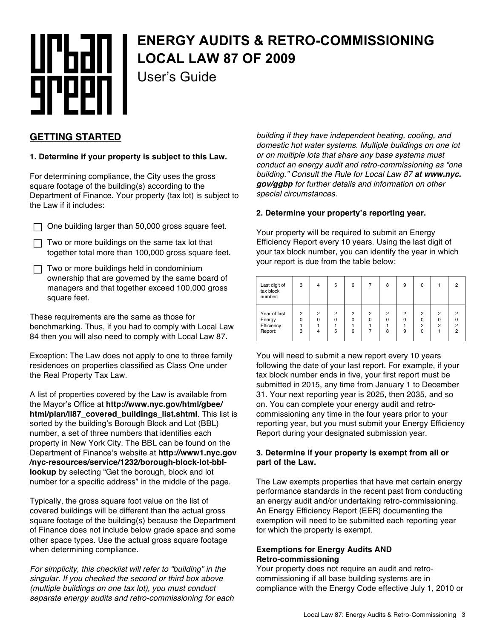# urban |<br>9reen |

# **ENERGY AUDITS & RETRO-COMMISSIONING LOCAL LAW 87 OF 2009**

User's Guide

# **GETTING STARTED**

#### **1. Determine if your property is subject to this Law.**

For determining compliance, the City uses the gross square footage of the building(s) according to the Department of Finance. Your property (tax lot) is subject to the Law if it includes:

- $\Box$  One building larger than 50,000 gross square feet.
- $\Box$  Two or more buildings on the same tax lot that together total more than 100,000 gross square feet.
- $\Box$  Two or more buildings held in condominium ownership that are governed by the same board of managers and that together exceed 100,000 gross square feet.

These requirements are the same as those for benchmarking. Thus, if you had to comply with Local Law 84 then you will also need to comply with Local Law 87.

Exception: The Law does not apply to one to three family residences on properties classified as Class One under the Real Property Tax Law.

A list of properties covered by the Law is available from the Mayor's Office at **http://www.nyc.gov/html/gbee/ html/plan/ll87\_covered\_buildings\_list.shtml**. This list is sorted by the building's Borough Block and Lot (BBL) number, a set of three numbers that identifies each property in New York City. The BBL can be found on the Department of Finance's website at **http://www1.nyc.gov /nyc-resources/service/1232/borough-block-lot-bbllookup** by selecting "Get the borough, block and lot number for a specific address" in the middle of the page.

Typically, the gross square foot value on the list of covered buildings will be different than the actual gross square footage of the building(s) because the Department of Finance does not include below grade space and some other space types. Use the actual gross square footage when determining compliance.

*For simplicity, this checklist will refer to "building" in the singular. If you checked the second or third box above (multiple buildings on one tax lot), you must conduct separate energy audits and retro-commissioning for each*  *building if they have independent heating, cooling, and domestic hot water systems. Multiple buildings on one lot or on multiple lots that share any base systems must conduct an energy audit and retro-commissioning as "one building." Consult the Rule for Local Law 87 at www.nyc. gov/ggbp for further details and information on other special circumstances.*

#### **2. Determine your property's reporting year.**

Your property will be required to submit an Energy Efficiency Report every 10 years. Using the last digit of your tax block number, you can identify the year in which your report is due from the table below:

| Last digit of<br>tax block<br>number:            | 3           | 4                  | 5                               | 6                               |                     | 8                               | 9           | 0                                          |                    | 2                                     |
|--------------------------------------------------|-------------|--------------------|---------------------------------|---------------------------------|---------------------|---------------------------------|-------------|--------------------------------------------|--------------------|---------------------------------------|
| Year of first<br>Energy<br>Efficiency<br>Report: | 2<br>0<br>3 | 2<br>$\Omega$<br>4 | $\overline{2}$<br>$\Omega$<br>5 | $\overline{2}$<br>$\Omega$<br>6 | $\overline{2}$<br>0 | $\overline{2}$<br>$\Omega$<br>8 | 2<br>ŋ<br>9 | $\overline{2}$<br>0<br>$\overline{2}$<br>O | 2<br>$\Omega$<br>2 | 2<br>$\overline{2}$<br>$\mathfrak{p}$ |

You will need to submit a new report every 10 years following the date of your last report. For example, if your tax block number ends in five, your first report must be submitted in 2015, any time from January 1 to December 31. Your next reporting year is 2025, then 2035, and so on. You can complete your energy audit and retrocommissioning any time in the four years prior to your reporting year, but you must submit your Energy Efficiency Report during your designated submission year.

#### **3. Determine if your property is exempt from all or part of the Law.**

The Law exempts properties that have met certain energy performance standards in the recent past from conducting an energy audit and/or undertaking retro-commissioning. An Energy Efficiency Report (EER) documenting the exemption will need to be submitted each reporting year for which the property is exempt.

#### **Exemptions for Energy Audits AND Retro-commissioning**

Your property does not require an audit and retrocommissioning if all base building systems are in compliance with the Energy Code effective July 1, 2010 or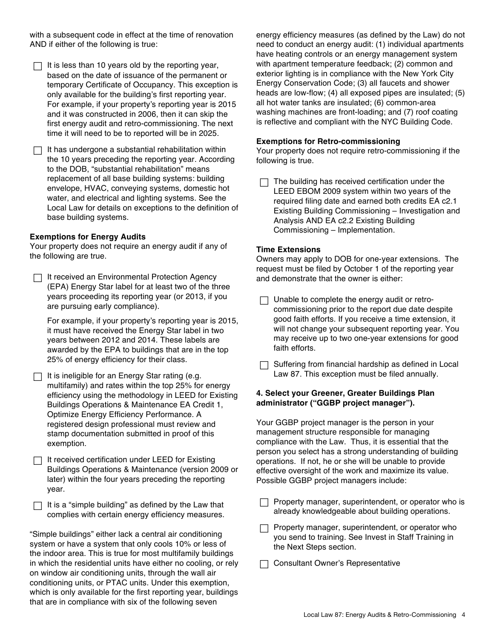with a subsequent code in effect at the time of renovation AND if either of the following is true:

- $\Box$  It is less than 10 years old by the reporting year, based on the date of issuance of the permanent or temporary Certificate of Occupancy. This exception is only available for the building's first reporting year. For example, if your property's reporting year is 2015 and it was constructed in 2006, then it can skip the first energy audit and retro-commissioning. The next time it will need to be to reported will be in 2025.
- $\Box$  It has undergone a substantial rehabilitation within the 10 years preceding the reporting year. According to the DOB, "substantial rehabilitation" means replacement of all base building systems: building envelope, HVAC, conveying systems, domestic hot water, and electrical and lighting systems. See the Local Law for details on exceptions to the definition of base building systems.

#### **Exemptions for Energy Audits**

Your property does not require an energy audit if any of the following are true.

 $\Box$  It received an Environmental Protection Agency (EPA) Energy Star label for at least two of the three years proceeding its reporting year (or 2013, if you are pursuing early compliance).

For example, if your property's reporting year is 2015, it must have received the Energy Star label in two years between 2012 and 2014. These labels are awarded by the EPA to buildings that are in the top 25% of energy efficiency for their class.

- $\Box$  It is ineligible for an Energy Star rating (e.g. multifamily) and rates within the top 25% for energy efficiency using the methodology in LEED for Existing Buildings Operations & Maintenance EA Credit 1, Optimize Energy Efficiency Performance. A registered design professional must review and stamp documentation submitted in proof of this exemption.
- $\Box$  It received certification under LEED for Existing Buildings Operations & Maintenance (version 2009 or later) within the four years preceding the reporting year.

 $\Box$  It is a "simple building" as defined by the Law that complies with certain energy efficiency measures.

"Simple buildings" either lack a central air conditioning system or have a system that only cools 10% or less of the indoor area. This is true for most multifamily buildings in which the residential units have either no cooling, or rely on window air conditioning units, through the wall air conditioning units, or PTAC units. Under this exemption, which is only available for the first reporting year, buildings that are in compliance with six of the following seven

energy efficiency measures (as defined by the Law) do not need to conduct an energy audit: (1) individual apartments have heating controls or an energy management system with apartment temperature feedback; (2) common and exterior lighting is in compliance with the New York City Energy Conservation Code; (3) all faucets and shower heads are low-flow; (4) all exposed pipes are insulated; (5) all hot water tanks are insulated; (6) common-area washing machines are front-loading; and (7) roof coating is reflective and compliant with the NYC Building Code.

#### **Exemptions for Retro-commissioning**

Your property does not require retro-commissioning if the following is true.

 $\Box$  The building has received certification under the LEED EBOM 2009 system within two years of the required filing date and earned both credits EA c2.1 Existing Building Commissioning – Investigation and Analysis AND EA c2.2 Existing Building Commissioning – Implementation.

#### **Time Extensions**

Owners may apply to DOB for one-year extensions. The request must be filed by October 1 of the reporting year and demonstrate that the owner is either:

- $\Box$  Unable to complete the energy audit or retrocommissioning prior to the report due date despite good faith efforts. If you receive a time extension, it will not change your subsequent reporting year. You may receive up to two one-year extensions for good faith efforts.
- $\Box$  Suffering from financial hardship as defined in Local Law 87. This exception must be filed annually.

#### **4. Select your Greener, Greater Buildings Plan administrator ("GGBP project manager").**

Your GGBP project manager is the person in your management structure responsible for managing compliance with the Law. Thus, it is essential that the person you select has a strong understanding of building operations. If not, he or she will be unable to provide effective oversight of the work and maximize its value. Possible GGBP project managers include:

- $\Box$  Property manager, superintendent, or operator who is already knowledgeable about building operations.
- $\Box$  Property manager, superintendent, or operator who you send to training. See Invest in Staff Training in the Next Steps section.

**T** Consultant Owner's Representative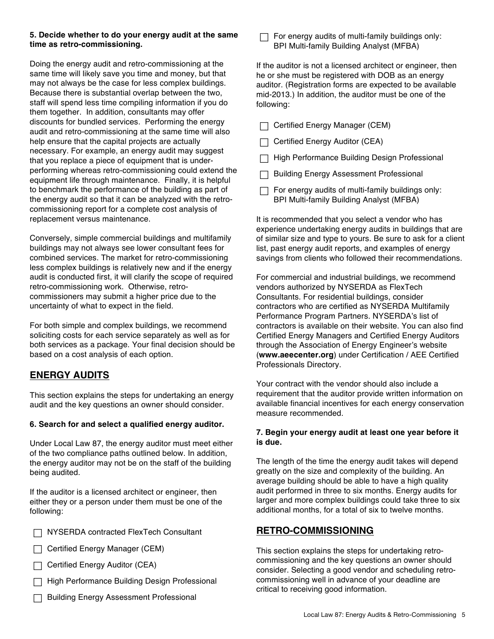#### **5. Decide whether to do your energy audit at the same time as retro-commissioning.**

Doing the energy audit and retro-commissioning at the same time will likely save you time and money, but that may not always be the case for less complex buildings. Because there is substantial overlap between the two, staff will spend less time compiling information if you do them together. In addition, consultants may offer discounts for bundled services. Performing the energy audit and retro-commissioning at the same time will also help ensure that the capital projects are actually necessary. For example, an energy audit may suggest that you replace a piece of equipment that is underperforming whereas retro-commissioning could extend the equipment life through maintenance. Finally, it is helpful to benchmark the performance of the building as part of the energy audit so that it can be analyzed with the retrocommissioning report for a complete cost analysis of replacement versus maintenance.

Conversely, simple commercial buildings and multifamily buildings may not always see lower consultant fees for combined services. The market for retro-commissioning less complex buildings is relatively new and if the energy audit is conducted first, it will clarify the scope of required retro-commissioning work. Otherwise, retrocommissioners may submit a higher price due to the uncertainty of what to expect in the field.

For both simple and complex buildings, we recommend soliciting costs for each service separately as well as for both services as a package. Your final decision should be based on a cost analysis of each option.

# **ENERGY AUDITS**

This section explains the steps for undertaking an energy audit and the key questions an owner should consider.

#### **6. Search for and select a qualified energy auditor.**

Under Local Law 87, the energy auditor must meet either of the two compliance paths outlined below. In addition, the energy auditor may not be on the staff of the building being audited.

If the auditor is a licensed architect or engineer, then either they or a person under them must be one of the following:

- □ NYSERDA contracted FlexTech Consultant
- $\Box$  Certified Energy Manager (CEM)
- $\Box$  Certified Energy Auditor (CEA)
- **The High Performance Building Design Professional**
- $\Box$  Building Energy Assessment Professional

 $\Box$  For energy audits of multi-family buildings only: BPI Multi-family Building Analyst (MFBA)

If the auditor is not a licensed architect or engineer, then he or she must be registered with DOB as an energy auditor. (Registration forms are expected to be available mid-2013.) In addition, the auditor must be one of the following:

- $\Box$  Certified Energy Manager (CEM)
- $\Box$  Certified Energy Auditor (CEA)
- $\Box$  High Performance Building Design Professional
- $\Box$  Building Energy Assessment Professional
- $\Box$  For energy audits of multi-family buildings only: BPI Multi-family Building Analyst (MFBA)

It is recommended that you select a vendor who has experience undertaking energy audits in buildings that are of similar size and type to yours. Be sure to ask for a client list, past energy audit reports, and examples of energy savings from clients who followed their recommendations.

For commercial and industrial buildings, we recommend vendors authorized by NYSERDA as FlexTech Consultants. For residential buildings, consider contractors who are certified as NYSERDA Multifamily Performance Program Partners. NYSERDA's list of contractors is available on their website. You can also find Certified Energy Managers and Certified Energy Auditors through the Association of Energy Engineer's website (**www.aeecenter.org**) under Certification / AEE Certified Professionals Directory.

Your contract with the vendor should also include a requirement that the auditor provide written information on available financial incentives for each energy conservation measure recommended.

#### **7. Begin your energy audit at least one year before it is due.**

The length of the time the energy audit takes will depend greatly on the size and complexity of the building. An average building should be able to have a high quality audit performed in three to six months. Energy audits for larger and more complex buildings could take three to six additional months, for a total of six to twelve months.

# **RETRO-COMMISSIONING**

This section explains the steps for undertaking retrocommissioning and the key questions an owner should consider. Selecting a good vendor and scheduling retrocommissioning well in advance of your deadline are critical to receiving good information.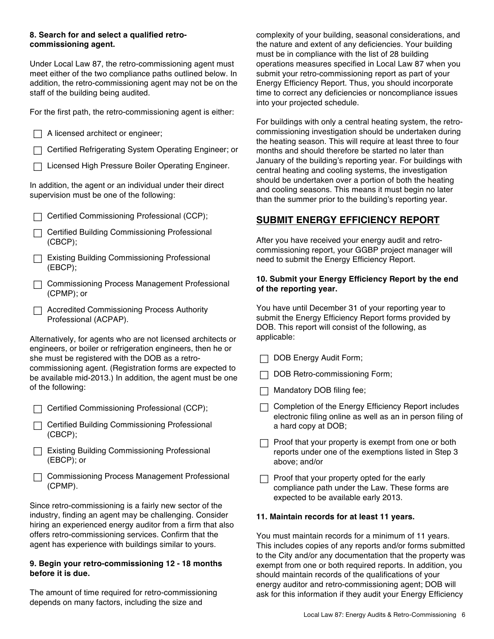#### **8. Search for and select a qualified retrocommissioning agent.**

Under Local Law 87, the retro-commissioning agent must meet either of the two compliance paths outlined below. In addition, the retro-commissioning agent may not be on the staff of the building being audited.

For the first path, the retro-commissioning agent is either:

| For the first path, the retro-commissioning agent is either:                                            |  |  |  |  |  |
|---------------------------------------------------------------------------------------------------------|--|--|--|--|--|
| A licensed architect or engineer;                                                                       |  |  |  |  |  |
| Certified Refrigerating System Operating Engineer; or                                                   |  |  |  |  |  |
| Licensed High Pressure Boiler Operating Engineer.                                                       |  |  |  |  |  |
| In addition, the agent or an individual under their direct<br>supervision must be one of the following: |  |  |  |  |  |
| Certified Commissioning Professional (CCP);                                                             |  |  |  |  |  |
| Certified Building Commissioning Professional<br>$(CBCP)$ ;                                             |  |  |  |  |  |
| Existing Building Commissioning Professional<br>(EBCP);                                                 |  |  |  |  |  |
| Commissioning Process Management Professional<br>$(CPMP)$ ; or                                          |  |  |  |  |  |
| <b>Accredited Commissioning Process Authority</b>                                                       |  |  |  |  |  |

Alternatively, for agents who are not licensed architects or engineers, or boiler or refrigeration engineers, then he or she must be registered with the DOB as a retrocommissioning agent. (Registration forms are expected to be available mid-2013.) In addition, the agent must be one of the following:

Professional (ACPAP).

- □ Certified Commissioning Professional (CCP);
- $\Box$  Certified Building Commissioning Professional (CBCP);
- □ Existing Building Commissioning Professional (EBCP); or
- $\Box$  Commissioning Process Management Professional (CPMP).

Since retro-commissioning is a fairly new sector of the industry, finding an agent may be challenging. Consider hiring an experienced energy auditor from a firm that also offers retro-commissioning services. Confirm that the agent has experience with buildings similar to yours.

#### **9. Begin your retro-commissioning 12 - 18 months before it is due.**

The amount of time required for retro-commissioning depends on many factors, including the size and

complexity of your building, seasonal considerations, and the nature and extent of any deficiencies. Your building must be in compliance with the list of 28 building operations measures specified in Local Law 87 when you submit your retro-commissioning report as part of your Energy Efficiency Report. Thus, you should incorporate time to correct any deficiencies or noncompliance issues into your projected schedule.

For buildings with only a central heating system, the retrocommissioning investigation should be undertaken during the heating season. This will require at least three to four months and should therefore be started no later than January of the building's reporting year. For buildings with central heating and cooling systems, the investigation should be undertaken over a portion of both the heating and cooling seasons. This means it must begin no later than the summer prior to the building's reporting year.

# **SUBMIT ENERGY EFFICIENCY REPORT**

After you have received your energy audit and retrocommissioning report, your GGBP project manager will need to submit the Energy Efficiency Report.

#### **10. Submit your Energy Efficiency Report by the end of the reporting year.**

You have until December 31 of your reporting year to submit the Energy Efficiency Report forms provided by DOB. This report will consist of the following, as applicable:

- $\Box$  DOB Energy Audit Form;
- $\Box$  DOB Retro-commissioning Form;
- $\Box$  Mandatory DOB filing fee;
- $\Box$  Completion of the Energy Efficiency Report includes electronic filing online as well as an in person filing of a hard copy at DOB;
- $\Box$  Proof that your property is exempt from one or both reports under one of the exemptions listed in Step 3 above; and/or
- $\Box$  Proof that your property opted for the early compliance path under the Law. These forms are expected to be available early 2013.

# **11. Maintain records for at least 11 years.**

You must maintain records for a minimum of 11 years. This includes copies of any reports and/or forms submitted to the City and/or any documentation that the property was exempt from one or both required reports. In addition, you should maintain records of the qualifications of your energy auditor and retro-commissioning agent; DOB will ask for this information if they audit your Energy Efficiency